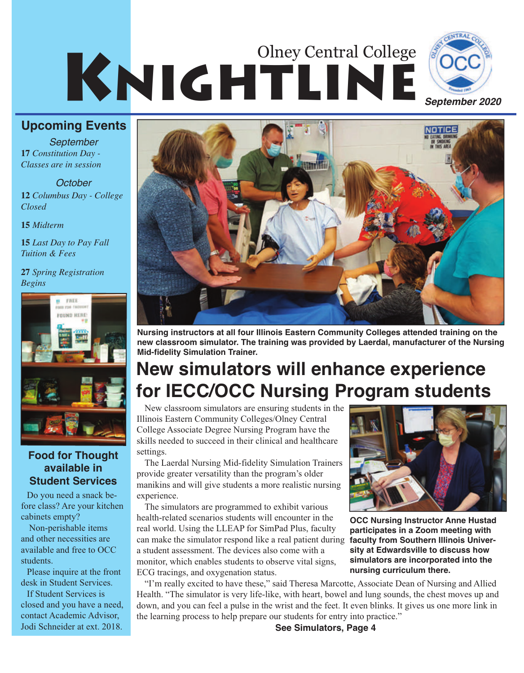# KNIGHTLINE Olney Central College



### **Upcoming Events**

**17** *Constitution Day - Classes are in session September*

#### *October*

**12** *Columbus Day - College Closed*

**15** *Midterm*

**15** *Last Day to Pay Fall Tuition & Fees*

**27** *Spring Registration Begins*



### **Food for Thought available in Student Services**

Do you need a snack before class? Are your kitchen cabinets empty?

Non-perishable items and other necessities are available and free to OCC students.

Please inquire at the front desk in Student Services.

If Student Services is closed and you have a need, contact Academic Advisor, Jodi Schneider at ext. 2018.



**Nursing instructors at all four Illinois Eastern Community Colleges attended training on the new classroom simulator. The training was provided by Laerdal, manufacturer of the Nursing Mid-fidelity Simulation Trainer.**

### **New simulators will enhance experience for IECC/OCC Nursing Program students**

New classroom simulators are ensuring students in the Illinois Eastern Community Colleges/Olney Central College Associate Degree Nursing Program have the skills needed to succeed in their clinical and healthcare settings.

The Laerdal Nursing Mid-fidelity Simulation Trainers provide greater versatility than the program's older manikins and will give students a more realistic nursing experience.

The simulators are programmed to exhibit various health-related scenarios students will encounter in the real world. Using the LLEAP for SimPad Plus, faculty can make the simulator respond like a real patient during a student assessment. The devices also come with a monitor, which enables students to observe vital signs, ECG tracings, and oxygenation status.



**OCC Nursing Instructor Anne Hustad participates in a Zoom meeting with faculty from Southern Illinois University at Edwardsville to discuss how simulators are incorporated into the nursing curriculum there.**

"I'm really excited to have these," said Theresa Marcotte, Associate Dean of Nursing and Allied Health. "The simulator is very life-like, with heart, bowel and lung sounds, the chest moves up and down, and you can feel a pulse in the wrist and the feet. It even blinks. It gives us one more link in the learning process to help prepare our students for entry into practice."

**See Simulators, Page 4**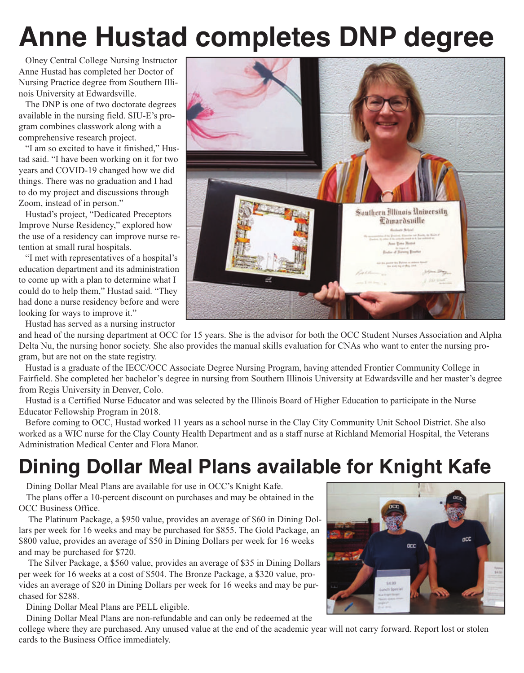## **Anne Hustad completes DNP degree**

Olney Central College Nursing Instructor Anne Hustad has completed her Doctor of Nursing Practice degree from Southern Illinois University at Edwardsville.

The DNP is one of two doctorate degrees available in the nursing field. SIU-E's program combines classwork along with a comprehensive research project.

"I am so excited to have it finished," Hustad said. "I have been working on it for two years and COVID-19 changed how we did things. There was no graduation and I had to do my project and discussions through Zoom, instead of in person."

Hustad's project, "Dedicated Preceptors Improve Nurse Residency," explored how the use of a residency can improve nurse retention at small rural hospitals.

"I met with representatives of a hospital's education department and its administration to come up with a plan to determine what I could do to help them," Hustad said. "They had done a nurse residency before and were looking for ways to improve it."

Hustad has served as a nursing instructor

and head of the nursing department at OCC for 15 years. She is the advisor for both the OCC Student Nurses Association and Alpha Delta Nu, the nursing honor society. She also provides the manual skills evaluation for CNAs who want to enter the nursing program, but are not on the state registry.

Hustad is a graduate of the IECC/OCC Associate Degree Nursing Program, having attended Frontier Community College in Fairfield. She completed her bachelor's degree in nursing from Southern Illinois University at Edwardsville and her master's degree from Regis University in Denver, Colo.

Hustad is a Certified Nurse Educator and was selected by the Illinois Board of Higher Education to participate in the Nurse Educator Fellowship Program in 2018.

Before coming to OCC, Hustad worked 11 years as a school nurse in the Clay City Community Unit School District. She also worked as a WIC nurse for the Clay County Health Department and as a staff nurse at Richland Memorial Hospital, the Veterans Administration Medical Center and Flora Manor.

## **Dining Dollar Meal Plans available for Knight Kafe**

Dining Dollar Meal Plans are available for use in OCC's Knight Kafe.

The plans offer a 10-percent discount on purchases and may be obtained in the OCC Business Office.

The Platinum Package, a \$950 value, provides an average of \$60 in Dining Dollars per week for 16 weeks and may be purchased for \$855. The Gold Package, an \$800 value, provides an average of \$50 in Dining Dollars per week for 16 weeks and may be purchased for \$720.

The Silver Package, a \$560 value, provides an average of \$35 in Dining Dollars per week for 16 weeks at a cost of \$504. The Bronze Package, a \$320 value, provides an average of \$20 in Dining Dollars per week for 16 weeks and may be purchased for \$288.

Dining Dollar Meal Plans are PELL eligible.

Dining Dollar Meal Plans are non-refundable and can only be redeemed at the

college where they are purchased. Any unused value at the end of the academic year will not carry forward. Report lost or stolen cards to the Business Office immediately.



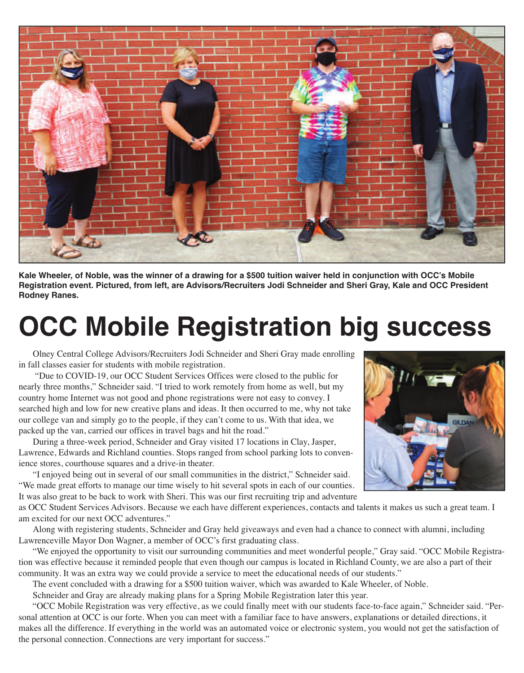

**Kale Wheeler, of Noble, was the winner of a drawing for a \$500 tuition waiver held in conjunction with OCC's Mobile Registration event. Pictured, from left, are Advisors/Recruiters Jodi Schneider and Sheri Gray, Kale and OCC President Rodney Ranes.**

## **OCC Mobile Registration big success**

Olney Central College Advisors/Recruiters Jodi Schneider and Sheri Gray made enrolling in fall classes easier for students with mobile registration.

"Due to COVID-19, our OCC Student Services Offices were closed to the public for nearly three months," Schneider said. "I tried to work remotely from home as well, but my country home Internet was not good and phone registrations were not easy to convey. I searched high and low for new creative plans and ideas. It then occurred to me, why not take our college van and simply go to the people, if they can't come to us. With that idea, we packed up the van, carried our offices in travel bags and hit the road."

During a three-week period, Schneider and Gray visited 17 locations in Clay, Jasper, Lawrence, Edwards and Richland counties. Stops ranged from school parking lots to convenience stores, courthouse squares and a drive-in theater.

"I enjoyed being out in several of our small communities in the district," Schneider said. "We made great efforts to manage our time wisely to hit several spots in each of our counties. It was also great to be back to work with Sheri. This was our first recruiting trip and adventure

as OCC Student Services Advisors. Because we each have different experiences, contacts and talents it makes us such a great team. I am excited for our next OCC adventures."

Along with registering students, Schneider and Gray held giveaways and even had a chance to connect with alumni, including Lawrenceville Mayor Don Wagner, a member of OCC's first graduating class.

"We enjoyed the opportunity to visit our surrounding communities and meet wonderful people," Gray said. "OCC Mobile Registration was effective because it reminded people that even though our campus is located in Richland County, we are also a part of their community. It was an extra way we could provide a service to meet the educational needs of our students."

The event concluded with a drawing for a \$500 tuition waiver, which was awarded to Kale Wheeler, of Noble.

Schneider and Gray are already making plans for a Spring Mobile Registration later this year.

"OCC Mobile Registration was very effective, as we could finally meet with our students face-to-face again," Schneider said. "Personal attention at OCC is our forte. When you can meet with a familiar face to have answers, explanations or detailed directions, it makes all the difference. If everything in the world was an automated voice or electronic system, you would not get the satisfaction of the personal connection. Connections are very important for success."